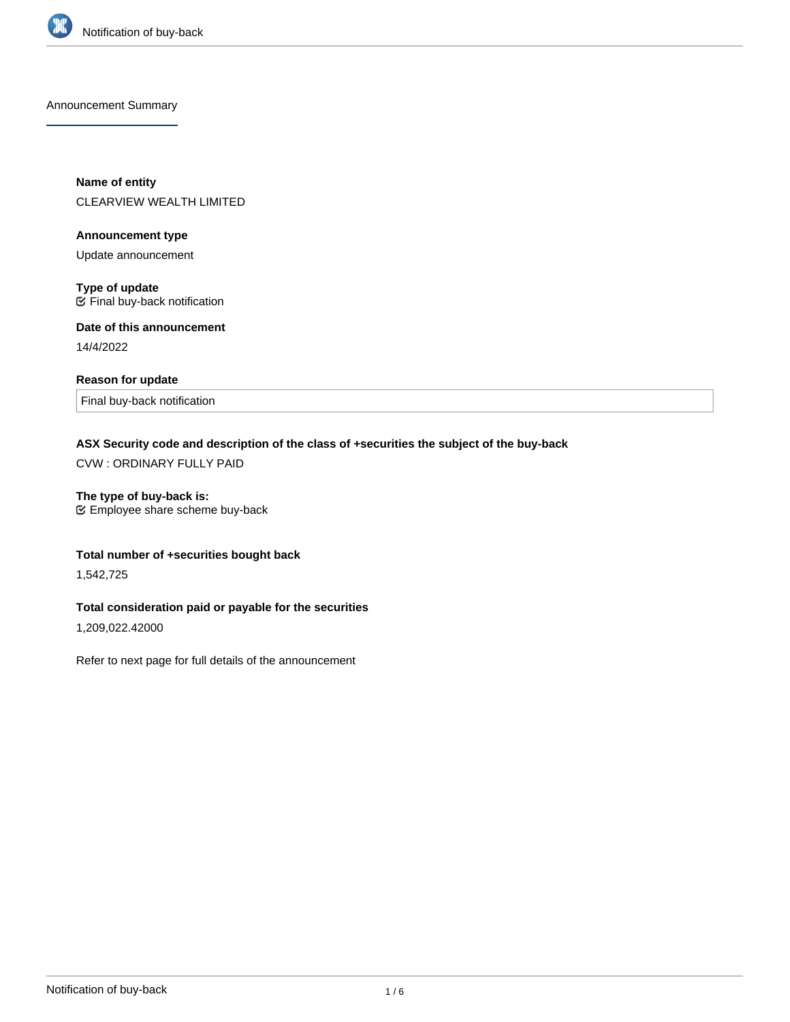

Announcement Summary

**Name of entity** CLEARVIEW WEALTH LIMITED

**Announcement type**

Update announcement

**Type of update**  $E$  Final buy-back notification

**Date of this announcement** 14/4/2022

## **Reason for update**

Final buy-back notification

# **ASX Security code and description of the class of +securities the subject of the buy-back**

CVW : ORDINARY FULLY PAID

**The type of buy-back is:**

Employee share scheme buy-back

# **Total number of +securities bought back**

1,542,725

# **Total consideration paid or payable for the securities**

1,209,022.42000

Refer to next page for full details of the announcement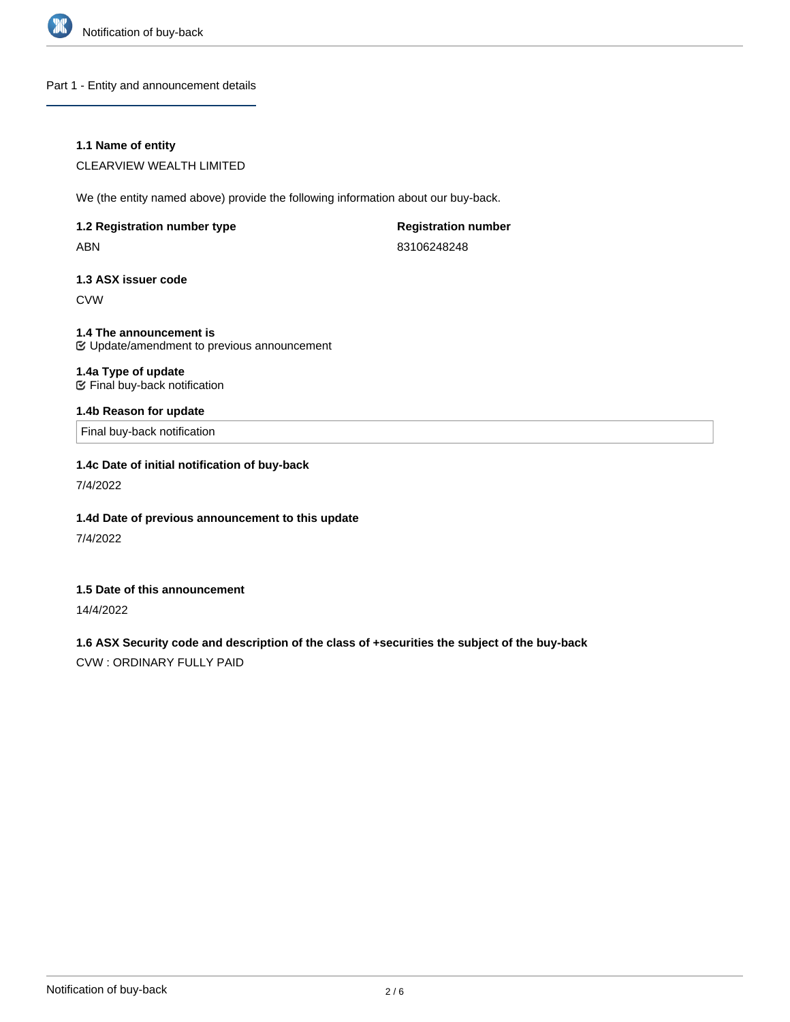

Part 1 - Entity and announcement details

## **1.1 Name of entity**

CLEARVIEW WEALTH LIMITED

We (the entity named above) provide the following information about our buy-back.

| 1.2 Registration number type |  |
|------------------------------|--|
| ABN                          |  |

**Registration number** 83106248248

## **1.3 ASX issuer code**

CVW

**1.4 The announcement is** Update/amendment to previous announcement

#### **1.4a Type of update** Final buy-back notification

## **1.4b Reason for update**

Final buy-back notification

## **1.4c Date of initial notification of buy-back**

7/4/2022

## **1.4d Date of previous announcement to this update**

7/4/2022

#### **1.5 Date of this announcement**

14/4/2022

# **1.6 ASX Security code and description of the class of +securities the subject of the buy-back**

CVW : ORDINARY FULLY PAID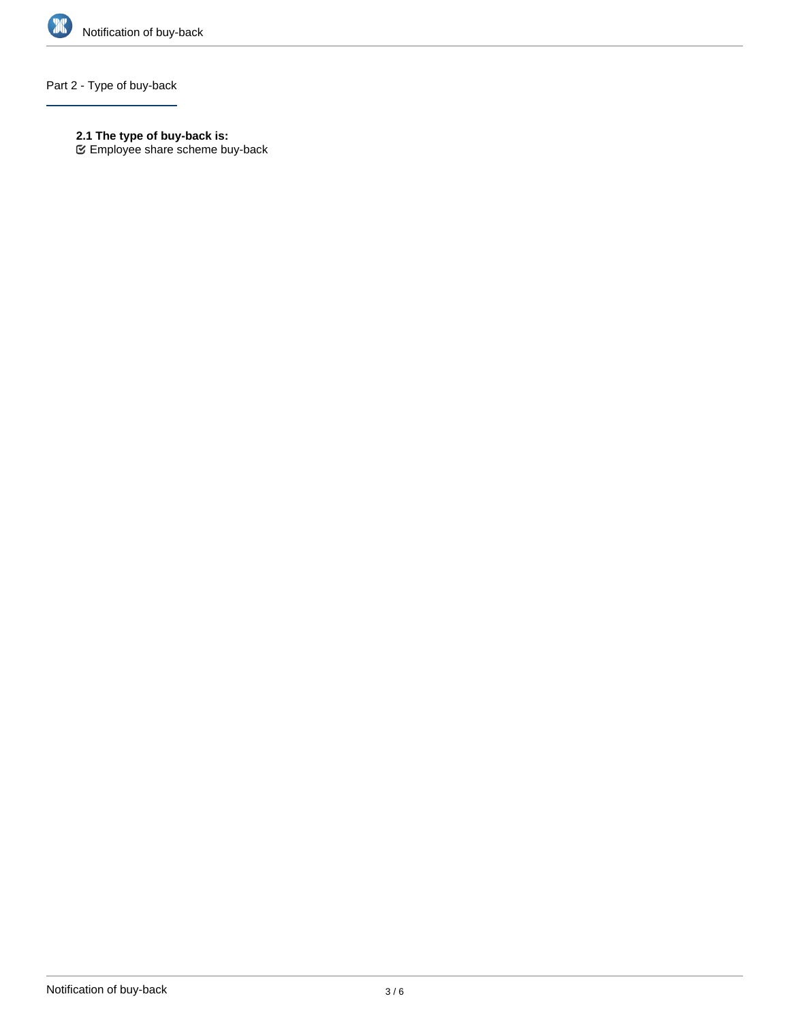

# Part 2 - Type of buy-back

- **2.1 The type of buy-back is:**
- Employee share scheme buy-back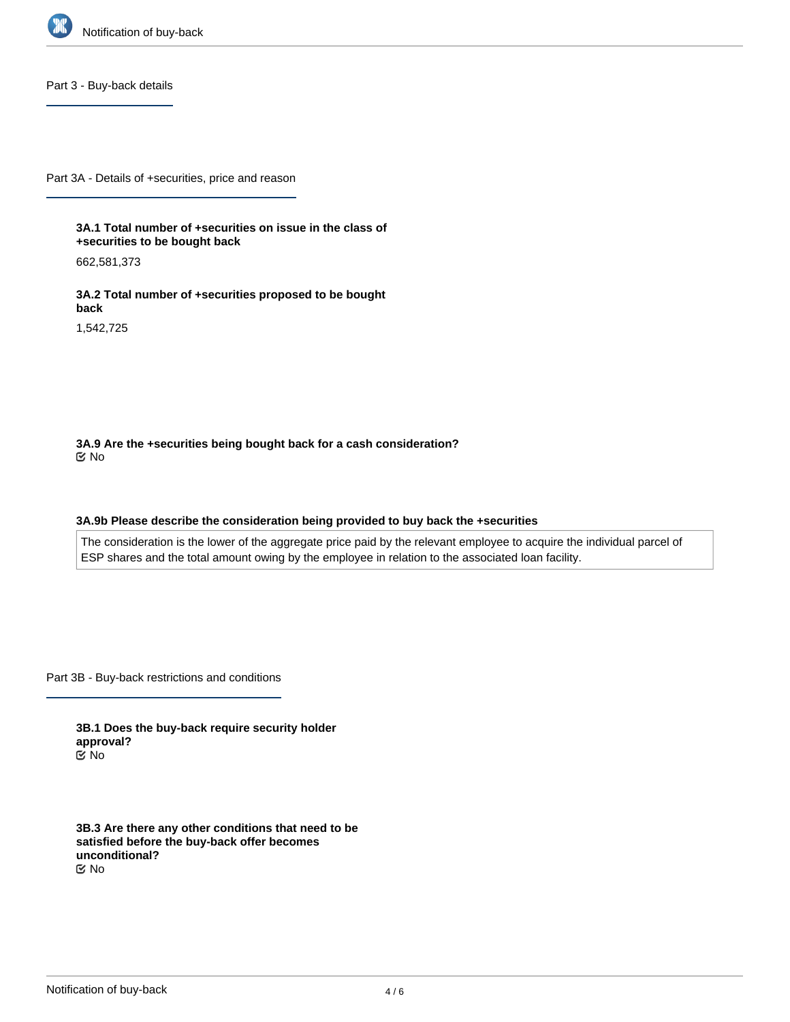

Part 3 - Buy-back details

Part 3A - Details of +securities, price and reason

**3A.1 Total number of +securities on issue in the class of +securities to be bought back**

662,581,373

**3A.2 Total number of +securities proposed to be bought back**

1,542,725

**3A.9 Are the +securities being bought back for a cash consideration?** No

#### **3A.9b Please describe the consideration being provided to buy back the +securities**

The consideration is the lower of the aggregate price paid by the relevant employee to acquire the individual parcel of ESP shares and the total amount owing by the employee in relation to the associated loan facility.

Part 3B - Buy-back restrictions and conditions

**3B.1 Does the buy-back require security holder approval?** No

**3B.3 Are there any other conditions that need to be satisfied before the buy-back offer becomes unconditional?** No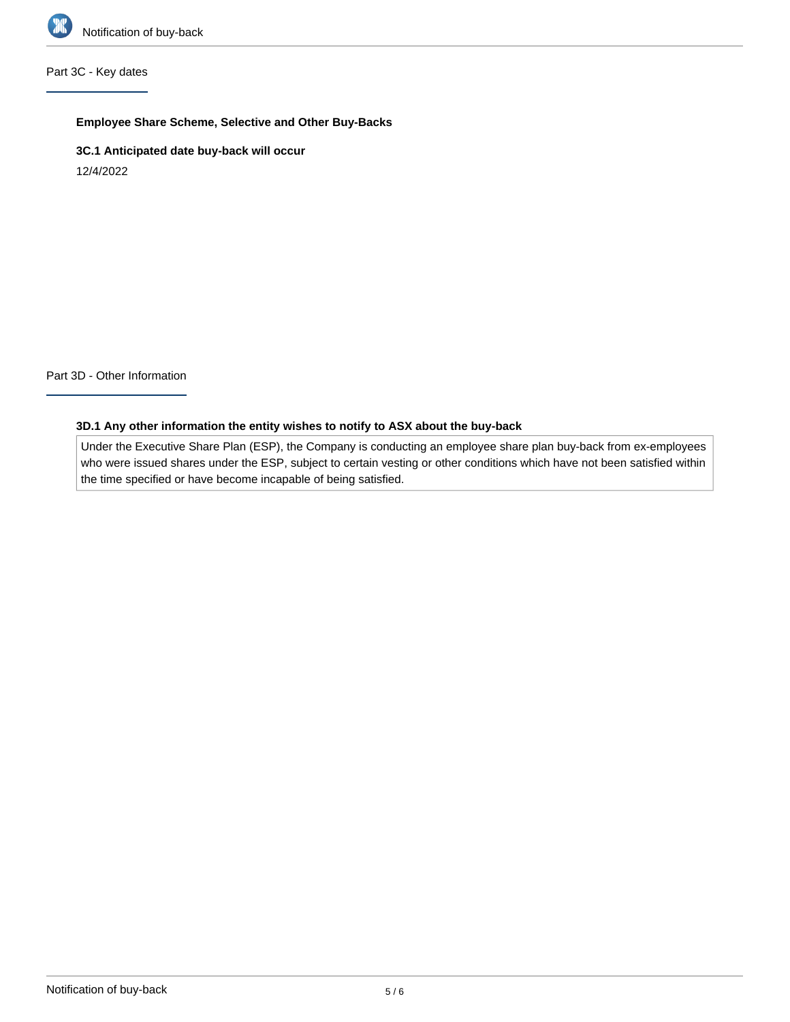

# Part 3C - Key dates

## **Employee Share Scheme, Selective and Other Buy-Backs**

**3C.1 Anticipated date buy-back will occur**

12/4/2022

Part 3D - Other Information

## **3D.1 Any other information the entity wishes to notify to ASX about the buy-back**

Under the Executive Share Plan (ESP), the Company is conducting an employee share plan buy-back from ex-employees who were issued shares under the ESP, subject to certain vesting or other conditions which have not been satisfied within the time specified or have become incapable of being satisfied.